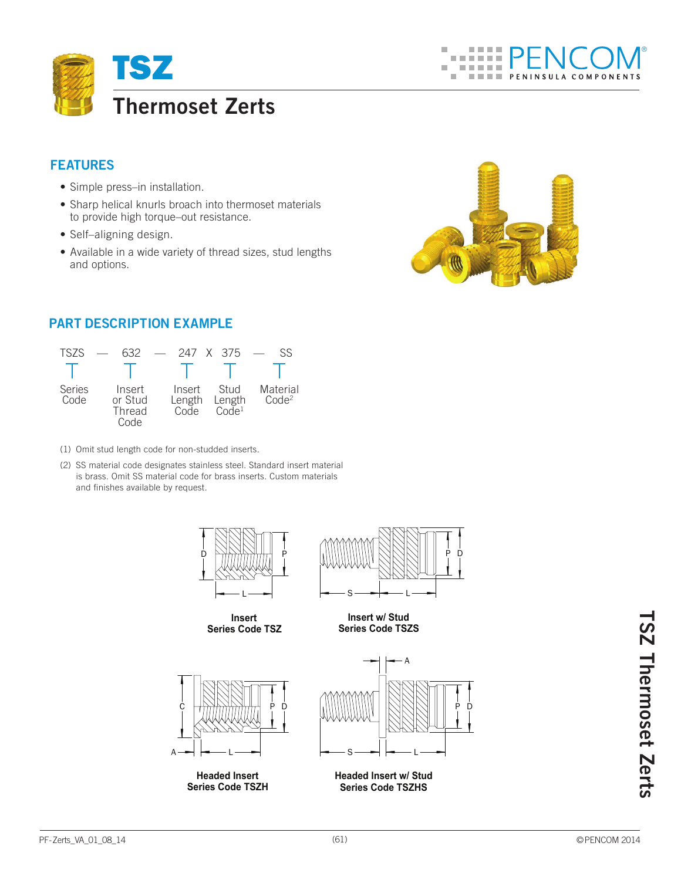

## **Features**

- Simple press–in installation.
- Sharp helical knurls broach into thermoset materials to provide high torque–out resistance.
- Self–aligning design.
- Available in a wide variety of thread sizes, stud lengths and options.



## **Part Description Example**



- (1) Omit stud length code for non-studded inserts.
- (2) SS material code designates stainless steel. Standard insert material is brass. Omit SS material code for brass inserts. Custom materials and finishes available by request.





**Headed Insert Series Code TSZH**



**Series Code TSZHS**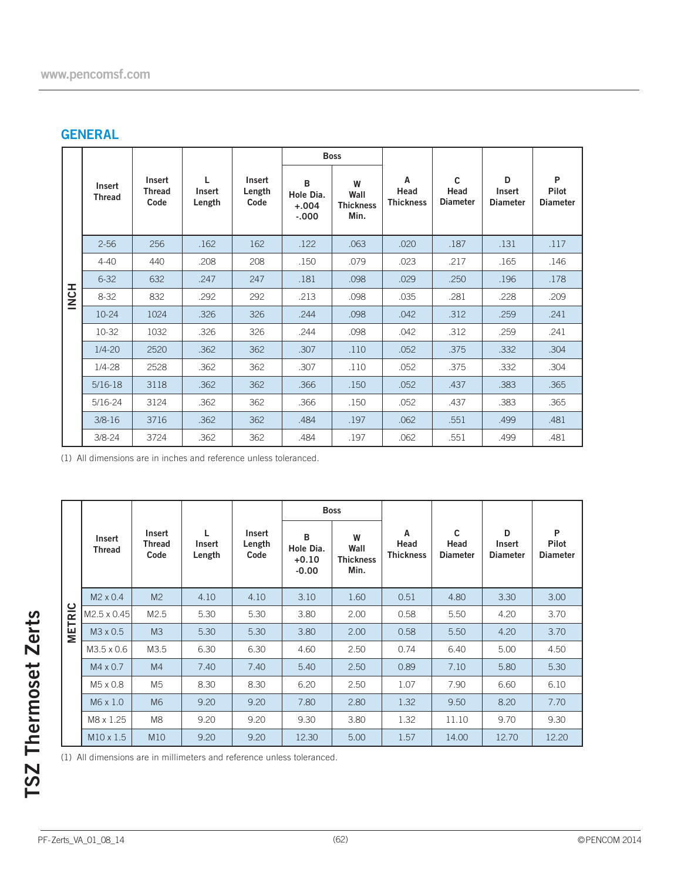# **GENERAL**

|            |                         | <b>Boss</b>                            |                       |                          |                                       |                                       |                               |                              |                                       |                               |  |
|------------|-------------------------|----------------------------------------|-----------------------|--------------------------|---------------------------------------|---------------------------------------|-------------------------------|------------------------------|---------------------------------------|-------------------------------|--|
|            | Insert<br><b>Thread</b> | <b>Insert</b><br><b>Thread</b><br>Code | L<br>Insert<br>Length | Insert<br>Length<br>Code | B<br>Hole Dia.<br>$+.004$<br>$-0.000$ | W<br>Wall<br><b>Thickness</b><br>Min. | A<br>Head<br><b>Thickness</b> | C<br>Head<br><b>Diameter</b> | D<br><b>Insert</b><br><b>Diameter</b> | P<br>Pilot<br><b>Diameter</b> |  |
|            | $2 - 56$                | 256                                    | .162                  | 162                      | .122                                  | .063                                  | .020                          | .187                         | .131                                  | .117                          |  |
| <b>HON</b> | $4 - 40$                | 440                                    | .208                  | 208                      | .150                                  | .079                                  | .023                          | .217                         | .165                                  | .146                          |  |
|            | $6 - 32$                | 632                                    | .247                  | 247                      | .181                                  | .098                                  | .029                          | .250                         | .196                                  | .178                          |  |
|            | $8 - 32$                | 832                                    | .292                  | 292                      | .213                                  | .098                                  | .035                          | .281                         | .228                                  | .209                          |  |
|            | $10-24$                 | 1024                                   | .326                  | 326                      | .244                                  | .098                                  | .042                          | .312                         | .259                                  | .241                          |  |
|            | 10-32                   | 1032                                   | .326                  | 326                      | .244                                  | .098                                  | .042                          | .312                         | .259                                  | .241                          |  |
|            | $1/4 - 20$              | 2520                                   | .362                  | 362                      | .307                                  | .110                                  | .052                          | .375                         | .332                                  | .304                          |  |
|            | $1/4 - 28$              | 2528                                   | .362                  | 362                      | .307                                  | .110                                  | .052                          | .375                         | .332                                  | .304                          |  |
|            | $5/16-18$               | 3118                                   | .362                  | 362                      | .366                                  | .150                                  | .052                          | .437                         | .383                                  | .365                          |  |
|            | $5/16 - 24$             | 3124                                   | .362                  | 362                      | .366                                  | .150                                  | .052                          | .437                         | .383                                  | .365                          |  |
|            | $3/8 - 16$              | 3716                                   | .362                  | 362                      | .484                                  | .197                                  | .062                          | .551                         | .499                                  | .481                          |  |
|            | $3/8 - 24$              | 3724                                   | .362                  | 362                      | .484                                  | .197                                  | .062                          | .551                         | .499                                  | .481                          |  |

(1) All dimensions are in inches and reference unless toleranced.

|               |                         |                                 |                       |                          |                                      | <b>Boss</b>                           |                               |                              |                                |                               |
|---------------|-------------------------|---------------------------------|-----------------------|--------------------------|--------------------------------------|---------------------------------------|-------------------------------|------------------------------|--------------------------------|-------------------------------|
|               | Insert<br><b>Thread</b> | Insert<br><b>Thread</b><br>Code | L<br>Insert<br>Length | Insert<br>Length<br>Code | В<br>Hole Dia.<br>$+0.10$<br>$-0.00$ | W<br>Wall<br><b>Thickness</b><br>Min. | Α<br>Head<br><b>Thickness</b> | C<br>Head<br><b>Diameter</b> | D<br>Insert<br><b>Diameter</b> | P<br>Pilot<br><b>Diameter</b> |
| <b>METRIC</b> | M <sub>2</sub> x 0.4    | M <sub>2</sub>                  | 4.10                  | 4.10                     | 3.10                                 | 1.60                                  | 0.51                          | 4.80                         | 3.30                           | 3.00                          |
|               | M2.5 x 0.45             | M2.5                            | 5.30                  | 5.30                     | 3.80                                 | 2.00                                  | 0.58                          | 5.50                         | 4.20                           | 3.70                          |
|               | M3 x 0.5                | M3                              | 5.30                  | 5.30                     | 3.80                                 | 2.00                                  | 0.58                          | 5.50                         | 4.20                           | 3.70                          |
|               | M3.5 x 0.6              | M3.5                            | 6.30                  | 6.30                     | 4.60                                 | 2.50                                  | 0.74                          | 6.40                         | 5.00                           | 4.50                          |
|               | $M4 \times 0.7$         | M4                              | 7.40                  | 7.40                     | 5.40                                 | 2.50                                  | 0.89                          | 7.10                         | 5.80                           | 5.30                          |
|               | M5 x 0.8                | M <sub>5</sub>                  | 8.30                  | 8.30                     | 6.20                                 | 2.50                                  | 1.07                          | 7.90                         | 6.60                           | 6.10                          |
|               | M6 x 1.0                | M <sub>6</sub>                  | 9.20                  | 9.20                     | 7.80                                 | 2.80                                  | 1.32                          | 9.50                         | 8.20                           | 7.70                          |
|               | M8 x 1.25               | M <sub>8</sub>                  | 9.20                  | 9.20                     | 9.30                                 | 3.80                                  | 1.32                          | 11.10                        | 9.70                           | 9.30                          |
|               | $M10 \times 1.5$        | M10                             | 9.20                  | 9.20                     | 12.30                                | 5.00                                  | 1.57                          | 14.00                        | 12.70                          | 12.20                         |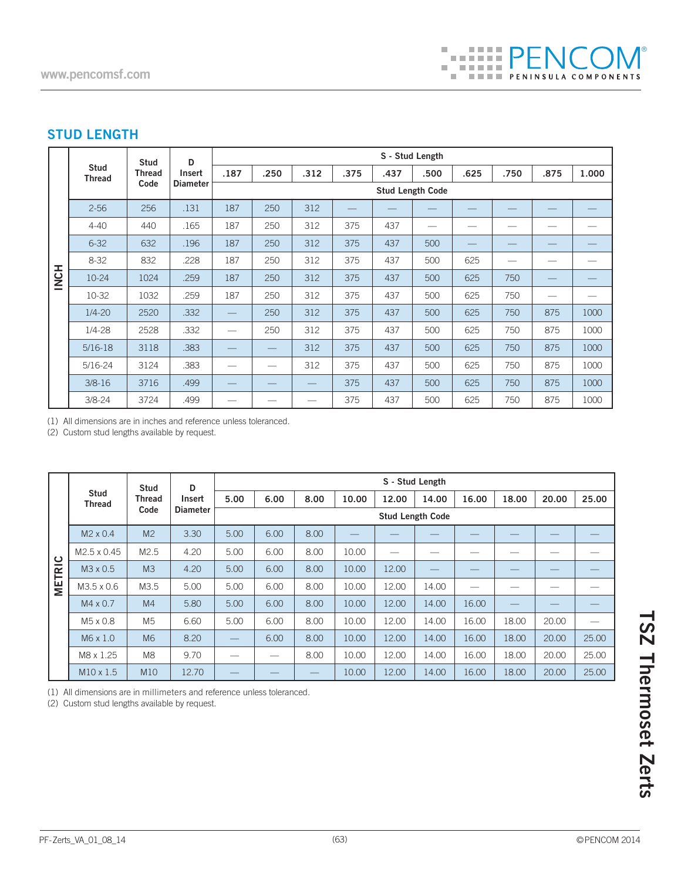## **STUD LENGTH**

|             |                              | <b>Stud</b>           | D                                | S - Stud Length          |                          |      |      |      |        |      |      |                 |       |  |
|-------------|------------------------------|-----------------------|----------------------------------|--------------------------|--------------------------|------|------|------|--------|------|------|-----------------|-------|--|
|             | <b>Stud</b><br><b>Thread</b> | <b>Thread</b><br>Code | <b>Insert</b><br><b>Diameter</b> | .187                     | .250                     | .312 | .375 | .437 | .500   | .625 | .750 | .875            | 1.000 |  |
|             |                              |                       |                                  |                          | <b>Stud Length Code</b>  |      |      |      |        |      |      |                 |       |  |
|             | $2 - 56$                     | 256                   | .131                             | 187                      | 250                      | 312  |      |      |        |      |      |                 |       |  |
|             | $4 - 40$                     | 440                   | .165                             | 187                      | 250                      | 312  | 375  | 437  | $\sim$ |      |      |                 |       |  |
|             | $6 - 32$                     | 632                   | .196                             | 187                      | 250                      | 312  | 375  | 437  | 500    |      |      |                 |       |  |
|             | $8 - 32$                     | 832                   | .228                             | 187                      | 250                      | 312  | 375  | 437  | 500    | 625  |      |                 |       |  |
| <b>HONE</b> | 10-24                        | 1024                  | .259                             | 187                      | 250                      | 312  | 375  | 437  | 500    | 625  | 750  |                 |       |  |
|             | 10-32                        | 1032                  | .259                             | 187                      | 250                      | 312  | 375  | 437  | 500    | 625  | 750  | $\qquad \qquad$ |       |  |
|             | $1/4 - 20$                   | 2520                  | .332                             | $\overline{\phantom{0}}$ | 250                      | 312  | 375  | 437  | 500    | 625  | 750  | 875             | 1000  |  |
|             | $1/4 - 28$                   | 2528                  | .332                             | $\overline{\phantom{0}}$ | 250                      | 312  | 375  | 437  | 500    | 625  | 750  | 875             | 1000  |  |
|             | $5/16-18$                    | 3118                  | .383                             |                          | $\overline{\phantom{0}}$ | 312  | 375  | 437  | 500    | 625  | 750  | 875             | 1000  |  |
|             | $5/16 - 24$                  | 3124                  | .383                             | --                       |                          | 312  | 375  | 437  | 500    | 625  | 750  | 875             | 1000  |  |
|             | $3/8 - 16$                   | 3716                  | .499                             |                          |                          |      | 375  | 437  | 500    | 625  | 750  | 875             | 1000  |  |
|             | $3/8 - 24$                   | 3724                  | .499                             |                          |                          |      | 375  | 437  | 500    | 625  | 750  | 875             | 1000  |  |

(1) All dimensions are in inches and reference unless toleranced.

(2) Custom stud lengths available by request.

|                      |                       | <b>Stud</b><br><b>Thread</b><br>Code | D               | S - Stud Length                 |      |      |       |       |       |       |                          |       |       |  |
|----------------------|-----------------------|--------------------------------------|-----------------|---------------------------------|------|------|-------|-------|-------|-------|--------------------------|-------|-------|--|
|                      | Stud<br><b>Thread</b> |                                      | Insert          | 5.00                            | 6.00 | 8.00 | 10.00 | 12.00 | 14.00 | 16.00 | 18.00                    | 20.00 | 25.00 |  |
|                      |                       |                                      | <b>Diameter</b> | <b>Stud Length Code</b>         |      |      |       |       |       |       |                          |       |       |  |
|                      | $M2 \times 0.4$       | M <sub>2</sub>                       | 3.30            | 5.00                            | 6.00 | 8.00 |       |       |       |       |                          |       |       |  |
| ပ                    | M2.5 x 0.45           | M2.5                                 | 4.20            | 5.00                            | 6.00 | 8.00 | 10.00 |       |       |       |                          |       |       |  |
| $\tilde{\mathbf{z}}$ | M3 x 0.5              | M <sub>3</sub>                       | 4.20            | 5.00                            | 6.00 | 8.00 | 10.00 | 12.00 |       |       |                          |       |       |  |
| METI                 | M3.5 x 0.6            | M3.5                                 | 5.00            | 5.00                            | 6.00 | 8.00 | 10.00 | 12.00 | 14.00 |       |                          |       |       |  |
|                      | M4 x 0.7              | M <sub>4</sub>                       | 5.80            | 5.00                            | 6.00 | 8.00 | 10.00 | 12.00 | 14.00 | 16.00 | $\overline{\phantom{0}}$ |       |       |  |
|                      | M <sub>5</sub> x 0.8  | M <sub>5</sub>                       | 6.60            | 5.00                            | 6.00 | 8.00 | 10.00 | 12.00 | 14.00 | 16.00 | 18.00                    | 20.00 |       |  |
|                      | M6 x 1.0              | M <sub>6</sub>                       | 8.20            | $\hspace{0.1mm}-\hspace{0.1mm}$ | 6.00 | 8.00 | 10.00 | 12.00 | 14.00 | 16.00 | 18.00                    | 20.00 | 25.00 |  |
|                      | M8 x 1.25             | M <sub>8</sub>                       | 9.70            | —                               | —    | 8.00 | 10.00 | 12.00 | 14.00 | 16.00 | 18.00                    | 20.00 | 25.00 |  |
|                      | $M10 \times 1.5$      | M10                                  | 12.70           |                                 |      |      | 10.00 | 12.00 | 14.00 | 16.00 | 18.00                    | 20.00 | 25.00 |  |

(1) All dimensions are in millimeters and reference unless toleranced.

(2) Custom stud lengths available by request.